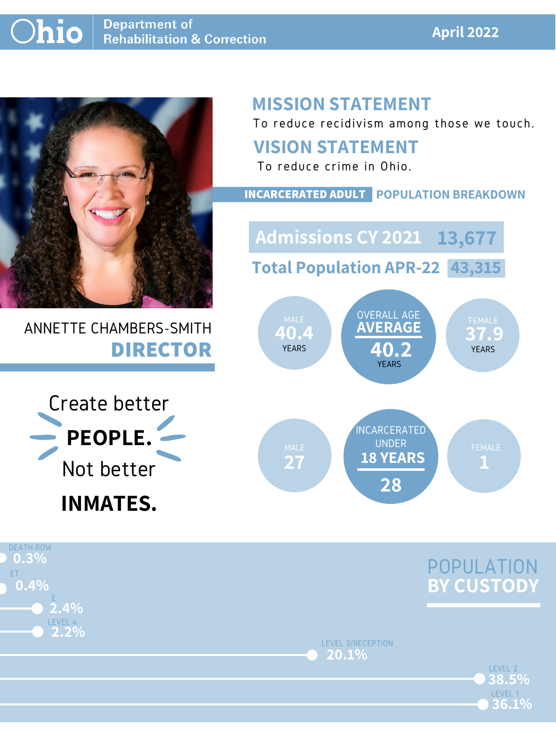#### **April 2022**



## ANNETTE CHAMBERS-SMITH **DIRECTOR**

# **MISSION STATEMENT**

To reduce recidivism among those we touch.





#### **VISION STATEMENT**

To reduce crime in Ohio.



#### **INCARCERATED ADULT POPULATION BREAKDOWN**

**Total Population APR-22 43,315**

**Admissions CY 2021 13,677**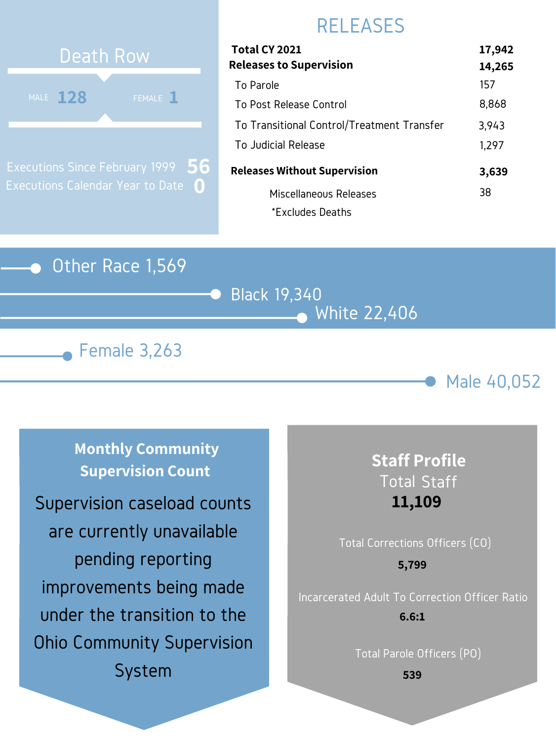#### Other Race 1,569







## RELEASES

# **128 128 128** Death Row MALE  $128$

Executions Since February 1999 Executions Calendar Year to Date **0 56**

| 17,942 |
|--------|
| 14,265 |
| 157    |
| 8,868  |
| 3,943  |
| 1,297  |
| 3,639  |
| 38     |
|        |
|        |

**Monthly Community Supervision Count**

#### **Staff Profile** Total Staff **11,109**

# Total Corrections Officers (CO) Incarcerated Adult To Correction Officer Ratio Total Parole Officers (PO) **5,799 6.6:1**

**539**

Supervision caseload counts are currently unavailable pending reporting improvements being made under the transition to the Ohio Community Supervision System